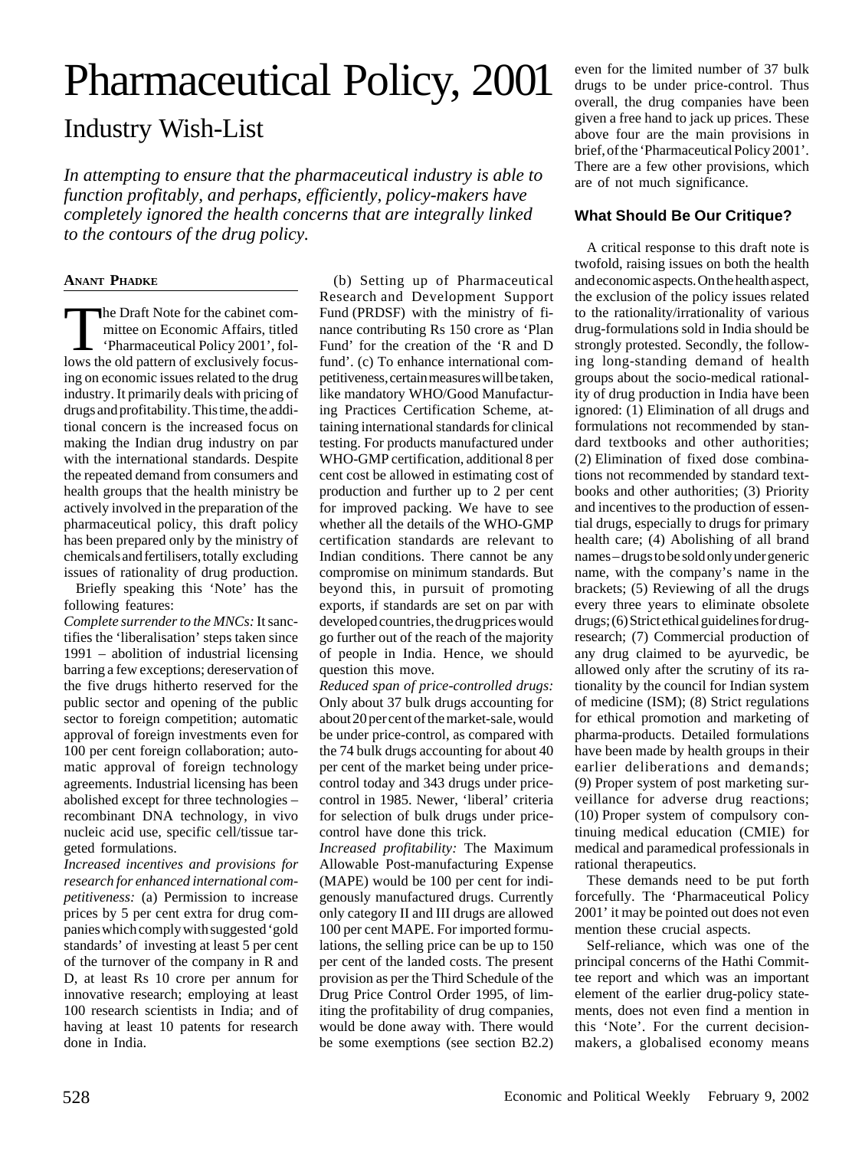## Pharmaceutical Policy, 2001

## Industry Wish-List

*In attempting to ensure that the pharmaceutical industry is able to function profitably, and perhaps, efficiently, policy-makers have completely ignored the health concerns that are integrally linked to the contours of the drug policy.*

## **ANANT PHADKE**

The Draft Note for the cabinet com-<br>
mittee on Economic Affairs, titled<br>
'Pharmaceutical Policy 2001', fol-<br>
lows the old nattern of exclusively focusmittee on Economic Affairs, titled lows the old pattern of exclusively focusing on economic issues related to the drug industry. It primarily deals with pricing of drugs and profitability. This time, the additional concern is the increased focus on making the Indian drug industry on par with the international standards. Despite the repeated demand from consumers and health groups that the health ministry be actively involved in the preparation of the pharmaceutical policy, this draft policy has been prepared only by the ministry of chemicals and fertilisers, totally excluding issues of rationality of drug production.

Briefly speaking this 'Note' has the following features:

*Complete surrender to the MNCs:* It sanctifies the 'liberalisation' steps taken since 1991 – abolition of industrial licensing barring a few exceptions; dereservation of the five drugs hitherto reserved for the public sector and opening of the public sector to foreign competition; automatic approval of foreign investments even for 100 per cent foreign collaboration; automatic approval of foreign technology agreements. Industrial licensing has been abolished except for three technologies – recombinant DNA technology, in vivo nucleic acid use, specific cell/tissue targeted formulations.

*Increased incentives and provisions for research for enhanced international competitiveness:* (a) Permission to increase prices by 5 per cent extra for drug companies which comply with suggested 'gold standards' of investing at least 5 per cent of the turnover of the company in R and D, at least Rs 10 crore per annum for innovative research; employing at least 100 research scientists in India; and of having at least 10 patents for research done in India.

(b) Setting up of Pharmaceutical Research and Development Support Fund (PRDSF) with the ministry of finance contributing Rs 150 crore as 'Plan Fund' for the creation of the 'R and D fund'. (c) To enhance international competitiveness, certain measures will be taken, like mandatory WHO/Good Manufacturing Practices Certification Scheme, attaining international standards for clinical testing. For products manufactured under WHO-GMP certification, additional 8 per cent cost be allowed in estimating cost of production and further up to 2 per cent for improved packing. We have to see whether all the details of the WHO-GMP certification standards are relevant to Indian conditions. There cannot be any compromise on minimum standards. But beyond this, in pursuit of promoting exports, if standards are set on par with developed countries, the drug prices would go further out of the reach of the majority of people in India. Hence, we should question this move.

*Reduced span of price-controlled drugs:* Only about 37 bulk drugs accounting for about 20 per cent of the market-sale, would be under price-control, as compared with the 74 bulk drugs accounting for about 40 per cent of the market being under pricecontrol today and 343 drugs under pricecontrol in 1985. Newer, 'liberal' criteria for selection of bulk drugs under pricecontrol have done this trick.

*Increased profitability:* The Maximum Allowable Post-manufacturing Expense (MAPE) would be 100 per cent for indigenously manufactured drugs. Currently only category II and III drugs are allowed 100 per cent MAPE. For imported formulations, the selling price can be up to 150 per cent of the landed costs. The present provision as per the Third Schedule of the Drug Price Control Order 1995, of limiting the profitability of drug companies, would be done away with. There would be some exemptions (see section B2.2) even for the limited number of 37 bulk drugs to be under price-control. Thus overall, the drug companies have been given a free hand to jack up prices. These above four are the main provisions in brief, of the 'Pharmaceutical Policy 2001'. There are a few other provisions, which are of not much significance.

## **What Should Be Our Critique?**

A critical response to this draft note is twofold, raising issues on both the health and economic aspects. On the health aspect, the exclusion of the policy issues related to the rationality/irrationality of various drug-formulations sold in India should be strongly protested. Secondly, the following long-standing demand of health groups about the socio-medical rationality of drug production in India have been ignored: (1) Elimination of all drugs and formulations not recommended by standard textbooks and other authorities; (2) Elimination of fixed dose combinations not recommended by standard textbooks and other authorities; (3) Priority and incentives to the production of essential drugs, especially to drugs for primary health care; (4) Abolishing of all brand names – drugs to be sold only under generic name, with the company's name in the brackets; (5) Reviewing of all the drugs every three years to eliminate obsolete drugs; (6) Strict ethical guidelines for drugresearch; (7) Commercial production of any drug claimed to be ayurvedic, be allowed only after the scrutiny of its rationality by the council for Indian system of medicine (ISM); (8) Strict regulations for ethical promotion and marketing of pharma-products. Detailed formulations have been made by health groups in their earlier deliberations and demands; (9) Proper system of post marketing surveillance for adverse drug reactions; (10) Proper system of compulsory continuing medical education (CMIE) for medical and paramedical professionals in rational therapeutics.

These demands need to be put forth forcefully. The 'Pharmaceutical Policy 2001' it may be pointed out does not even mention these crucial aspects.

Self-reliance, which was one of the principal concerns of the Hathi Committee report and which was an important element of the earlier drug-policy statements, does not even find a mention in this 'Note'. For the current decisionmakers, a globalised economy means